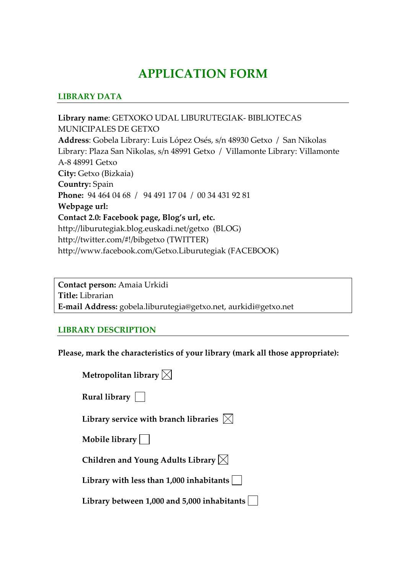# **APPLICATION FORM**

### **LIBRARY DATA**

**Library name**: GETXOKO UDAL LIBURUTEGIAK‐ BIBLIOTECAS MUNICIPALES DE GETXO **Address**: Gobela Library: Luis López Osés, s/n 48930 Getxo / San Nikolas Library: Plaza San Nikolas, s/n 48991 Getxo / Villamonte Library: Villamonte A‐8 48991 Getxo **City:** Getxo (Bizkaia) **Country:** Spain **Phone:** 94 464 04 68 / 94 491 17 04 / 00 34 431 92 81 **Webpage url: Contact 2.0: Facebook page, Blog's url, etc.** http://liburutegiak.blog.euskadi.net/getxo (BLOG) http://twitter.com/#!/bibgetxo (TWITTER) http://www.facebook.com/Getxo.Liburutegiak (FACEBOOK)

**Contact person:** Amaia Urkidi **Title:** Librarian **E‐mail Address:** gobela.liburutegia@getxo.net, aurkidi@getxo.net

#### **LIBRARY DESCRIPTION**

**Please, mark the characteristics of your library (mark all those appropriate):**

| Metropolitan library $\boxtimes$                           |
|------------------------------------------------------------|
| Rural library $\vert \ \vert$                              |
| Library service with branch libraries $\vert \times \vert$ |
| Mobile library $\vert$ $\vert$                             |
| Children and Young Adults Library $\boxtimes$              |
| Library with less than $1,000$ inhabitants                 |
| Library between 1,000 and 5,000 inhabitants                |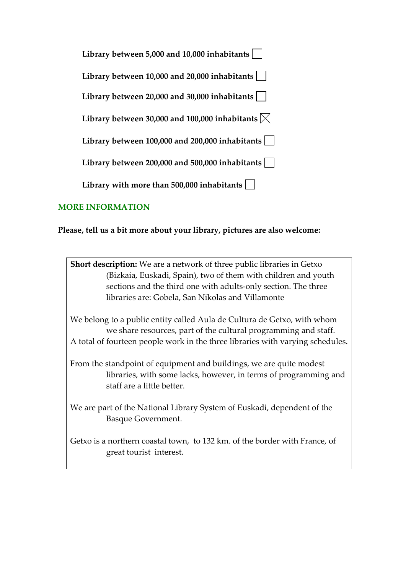| Library between 5,000 and 10,000 inhabitants                          |
|-----------------------------------------------------------------------|
| Library between 10,000 and 20,000 inhabitants                         |
| Library between $20,000$ and $30,000$ inhabitants                     |
| Library between 30,000 and 100,000 inhabitants $\vert\mathbf{x}\vert$ |
| Library between 100,000 and 200,000 inhabitants                       |
| Library between 200,000 and 500,000 inhabitants                       |
| Library with more than $500,000$ inhabitants                          |

### **MORE INFORMATION**

### **Please, tell us a bit more about your library, pictures are also welcome:**

**Short description:** We are a network of three public libraries in Getxo (Bizkaia, Euskadi, Spain), two of them with children and youth sections and the third one with adults-only section. The three libraries are: Gobela, San Nikolas and Villamonte

We belong to a public entity called Aula de Cultura de Getxo, with whom we share resources, part of the cultural programming and staff. A total of fourteen people work in the three libraries with varying schedules.

From the standpoint of equipment and buildings, we are quite modest libraries, with some lacks, however, in terms of programming and staff are a little better.

We are part of the National Library System of Euskadi, dependent of the Basque Government.

Getxo is a northern coastal town, to 132 km. of the border with France, of great tourist interest.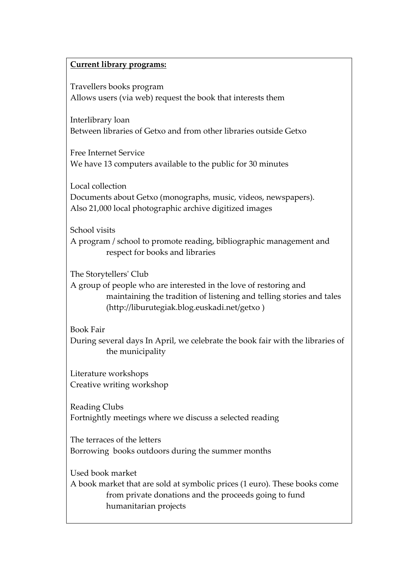### **Current library programs:**

Travellers books program Allows users (via web) request the book that interests them

Interlibrary loan Between libraries of Getxo and from other libraries outside Getxo

Free Internet Service We have 13 computers available to the public for 30 minutes

Local collection Documents about Getxo (monographs, music, videos, newspapers). Also 21,000 local photographic archive digitized images

School visits A program / school to promote reading, bibliographic management and respect for books and libraries

The Storytellersʹ Club

A group of people who are interested in the love of restoring and maintaining the tradition of listening and telling stories and tales (http://liburutegiak.blog.euskadi.net/getxo )

Book Fair

During several days In April, we celebrate the book fair with the libraries of the municipality

Literature workshops Creative writing workshop

Reading Clubs Fortnightly meetings where we discuss a selected reading

The terraces of the letters Borrowing books outdoors during the summer months

Used book market A book market that are sold at symbolic prices (1 euro). These books come from private donations and the proceeds going to fund humanitarian projects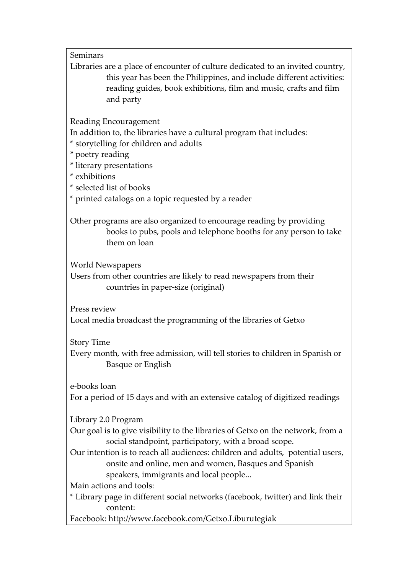Seminars

Libraries are a place of encounter of culture dedicated to an invited country, this year has been the Philippines, and include different activities: reading guides, book exhibitions, film and music, crafts and film and party

Reading Encouragement

In addition to, the libraries have a cultural program that includes:

\* storytelling for children and adults

\* poetry reading

\* literary presentations

\* exhibitions

\* selected list of books

\* printed catalogs on a topic requested by a reader

Other programs are also organized to encourage reading by providing books to pubs, pools and telephone booths for any person to take them on loan

World Newspapers

Users from other countries are likely to read newspapers from their countries in paper‐size (original)

Press review

Local media broadcast the programming of the libraries of Getxo

Story Time

Every month, with free admission, will tell stories to children in Spanish or Basque or English

e‐books loan

For a period of 15 days and with an extensive catalog of digitized readings

Library 2.0 Program

Our goal is to give visibility to the libraries of Getxo on the network, from a social standpoint, participatory, with a broad scope.

Our intention is to reach all audiences: children and adults, potential users, onsite and online, men and women, Basques and Spanish speakers, immigrants and local people...

Main actions and tools:

\* Library page in different social networks (facebook, twitter) and link their content:

Facebook: http://www.facebook.com/Getxo.Liburutegiak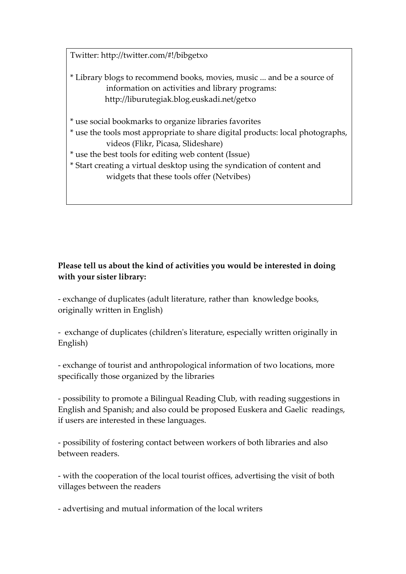Twitter: http://twitter.com/#!/bibgetxo

- \* Library blogs to recommend books, movies, music ... and be a source of information on activities and library programs: http://liburutegiak.blog.euskadi.net/getxo
- \* use social bookmarks to organize libraries favorites
- \* use the tools most appropriate to share digital products: local photographs, videos (Flikr, Picasa, Slideshare)
- \* use the best tools for editing web content (Issue)
- \* Start creating a virtual desktop using the syndication of content and widgets that these tools offer (Netvibes)

# **Please tell us about the kind of activities you would be interested in doing with your sister library:**

‐ exchange of duplicates (adult literature, rather than knowledge books, originally written in English)

‐ exchange of duplicates (childrenʹs literature, especially written originally in English)

‐ exchange of tourist and anthropological information of two locations, more specifically those organized by the libraries

‐ possibility to promote a Bilingual Reading Club, with reading suggestions in English and Spanish; and also could be proposed Euskera and Gaelic readings, if users are interested in these languages.

‐ possibility of fostering contact between workers of both libraries and also between readers.

‐ with the cooperation of the local tourist offices, advertising the visit of both villages between the readers

‐ advertising and mutual information of the local writers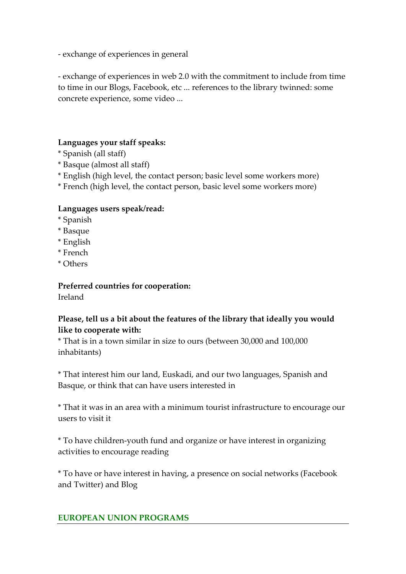‐ exchange of experiences in general

‐ exchange of experiences in web 2.0 with the commitment to include from time to time in our Blogs, Facebook, etc ... references to the library twinned: some concrete experience, some video ...

# **Languages your staff speaks:**

- \* Spanish (all staff)
- \* Basque (almost all staff)
- \* English (high level, the contact person; basic level some workers more)
- \* French (high level, the contact person, basic level some workers more)

## **Languages users speak/read:**

- \* Spanish
- \* Basque
- \* English
- \* French
- \* Others

**Preferred countries for cooperation:**  Ireland

# **Please, tell us a bit about the features of the library that ideally you would like to cooperate with:**

\* That is in a town similar in size to ours (between 30,000 and 100,000 inhabitants)

\* That interest him our land, Euskadi, and our two languages, Spanish and Basque, or think that can have users interested in

\* That it was in an area with a minimum tourist infrastructure to encourage our users to visit it

\* To have children‐youth fund and organize or have interest in organizing activities to encourage reading

\* To have or have interest in having, a presence on social networks (Facebook and Twitter) and Blog

## **EUROPEAN UNION PROGRAMS**